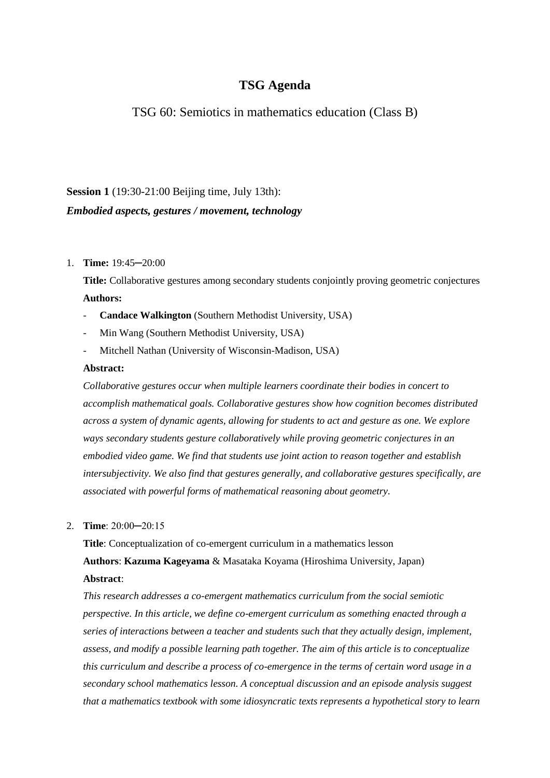# **TSG Agenda**

TSG 60: Semiotics in mathematics education (Class B)

# **Session 1** (19:30-21:00 Beijing time, July 13th): *Embodied aspects, gestures / movement, technology*

## 1. **Time:** 19:45─20:00

**Title:** Collaborative gestures among secondary students conjointly proving geometric conjectures **Authors:** 

- **Candace Walkington** (Southern Methodist University, USA)
- Min Wang (Southern Methodist University, USA)
- Mitchell Nathan (University of Wisconsin-Madison, USA)

## **Abstract:**

*Collaborative gestures occur when multiple learners coordinate their bodies in concert to accomplish mathematical goals. Collaborative gestures show how cognition becomes distributed across a system of dynamic agents, allowing for students to act and gesture as one. We explore ways secondary students gesture collaboratively while proving geometric conjectures in an embodied video game. We find that students use joint action to reason together and establish intersubjectivity. We also find that gestures generally, and collaborative gestures specifically, are associated with powerful forms of mathematical reasoning about geometry.*

#### 2. **Time**: 20:00─20:15

**Title**: Conceptualization of co-emergent curriculum in a mathematics lesson **Authors**: **Kazuma Kageyama** & Masataka Koyama (Hiroshima University, Japan) **Abstract**:

*This research addresses a co-emergent mathematics curriculum from the social semiotic perspective. In this article, we define co-emergent curriculum as something enacted through a series of interactions between a teacher and students such that they actually design, implement, assess, and modify a possible learning path together. The aim of this article is to conceptualize this curriculum and describe a process of co-emergence in the terms of certain word usage in a secondary school mathematics lesson. A conceptual discussion and an episode analysis suggest that a mathematics textbook with some idiosyncratic texts represents a hypothetical story to learn*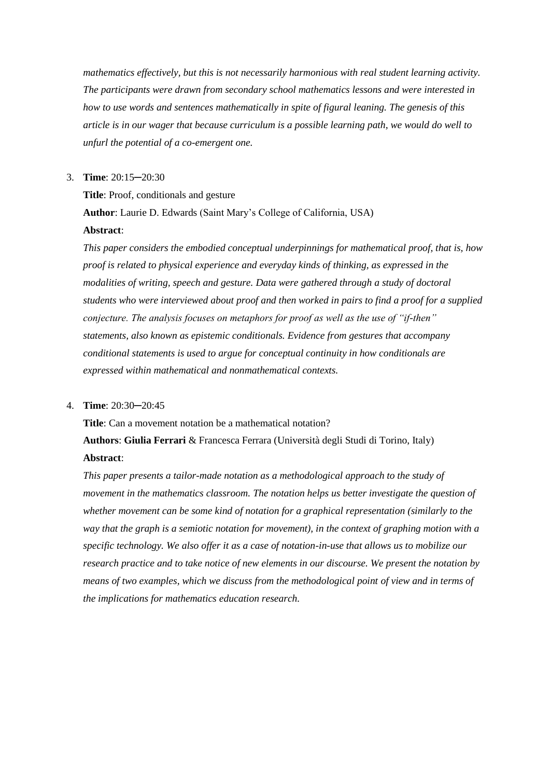*mathematics effectively, but this is not necessarily harmonious with real student learning activity. The participants were drawn from secondary school mathematics lessons and were interested in how to use words and sentences mathematically in spite of figural leaning. The genesis of this article is in our wager that because curriculum is a possible learning path, we would do well to unfurl the potential of a co-emergent one.*

#### 3. **Time**: 20:15─20:30

**Title**: Proof, conditionals and gesture **Author**: Laurie D. Edwards (Saint Mary's College of California, USA) **Abstract**:

*This paper considers the embodied conceptual underpinnings for mathematical proof, that is, how proof is related to physical experience and everyday kinds of thinking, as expressed in the modalities of writing, speech and gesture. Data were gathered through a study of doctoral students who were interviewed about proof and then worked in pairs to find a proof for a supplied conjecture. The analysis focuses on metaphors for proof as well as the use of "if-then" statements, also known as epistemic conditionals. Evidence from gestures that accompany conditional statements is used to argue for conceptual continuity in how conditionals are expressed within mathematical and nonmathematical contexts.*

#### 4. **Time**: 20:30─20:45

**Title**: Can a movement notation be a mathematical notation? **Authors**: **Giulia Ferrari** & Francesca Ferrara (Università degli Studi di Torino, Italy) **Abstract**:

*This paper presents a tailor-made notation as a methodological approach to the study of movement in the mathematics classroom. The notation helps us better investigate the question of whether movement can be some kind of notation for a graphical representation (similarly to the way that the graph is a semiotic notation for movement), in the context of graphing motion with a specific technology. We also offer it as a case of notation-in-use that allows us to mobilize our research practice and to take notice of new elements in our discourse. We present the notation by means of two examples, which we discuss from the methodological point of view and in terms of the implications for mathematics education research.*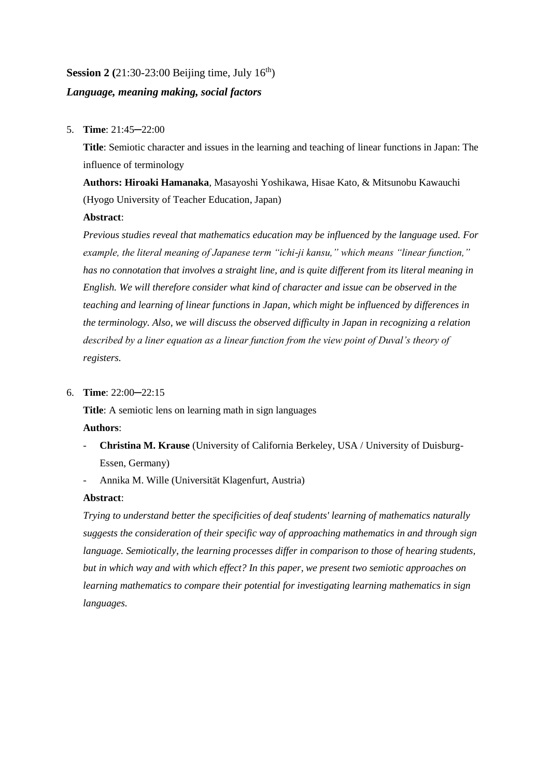## **Session 2** (21:30-23:00 Beijing time, July  $16<sup>th</sup>$ )

## *Language, meaning making, social factors*

## 5. **Time**: 21:45─22:00

**Title**: Semiotic character and issues in the learning and teaching of linear functions in Japan: The influence of terminology

**Authors: Hiroaki Hamanaka**, Masayoshi Yoshikawa, Hisae Kato, & Mitsunobu Kawauchi (Hyogo University of Teacher Education, Japan)

## **Abstract**:

*Previous studies reveal that mathematics education may be influenced by the language used. For example, the literal meaning of Japanese term "ichi-ji kansu," which means "linear function," has no connotation that involves a straight line, and is quite different from its literal meaning in English. We will therefore consider what kind of character and issue can be observed in the teaching and learning of linear functions in Japan, which might be influenced by differences in the terminology. Also, we will discuss the observed difficulty in Japan in recognizing a relation described by a liner equation as a linear function from the view point of Duval's theory of registers.*

## 6. **Time**: 22:00─22:15

**Title**: A semiotic lens on learning math in sign languages **Authors**:

- **Christina M. Krause** (University of California Berkeley, USA / University of Duisburg-Essen, Germany)
- Annika M. Wille (Universität Klagenfurt, Austria)

## **Abstract**:

*Trying to understand better the specificities of deaf students' learning of mathematics naturally suggests the consideration of their specific way of approaching mathematics in and through sign language. Semiotically, the learning processes differ in comparison to those of hearing students, but in which way and with which effect? In this paper, we present two semiotic approaches on learning mathematics to compare their potential for investigating learning mathematics in sign languages.*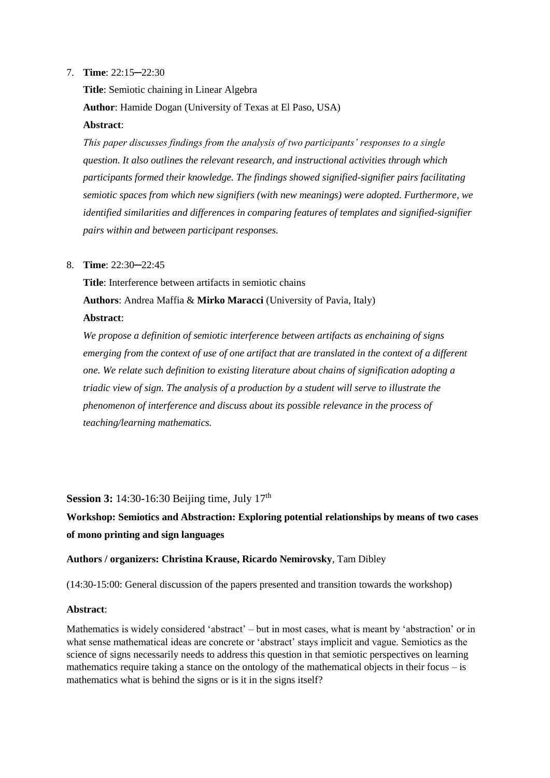## 7. **Time**: 22:15─22:30

**Title**: Semiotic chaining in Linear Algebra **Author**: Hamide Dogan (University of Texas at El Paso, USA) **Abstract**:

*This paper discusses findings from the analysis of two participants' responses to a single question. It also outlines the relevant research, and instructional activities through which participants formed their knowledge. The findings showed signified-signifier pairs facilitating semiotic spaces from which new signifiers (with new meanings) were adopted. Furthermore, we identified similarities and differences in comparing features of templates and signified-signifier pairs within and between participant responses.*

#### 8. **Time**: 22:30─22:45

**Title**: Interference between artifacts in semiotic chains **Authors**: Andrea Maffia & **Mirko Maracci** (University of Pavia, Italy) **Abstract**:

*We propose a definition of semiotic interference between artifacts as enchaining of signs emerging from the context of use of one artifact that are translated in the context of a different one. We relate such definition to existing literature about chains of signification adopting a triadic view of sign. The analysis of a production by a student will serve to illustrate the phenomenon of interference and discuss about its possible relevance in the process of teaching/learning mathematics.*

**Session 3:** 14:30-16:30 Beijing time, July 17<sup>th</sup>

**Workshop: Semiotics and Abstraction: Exploring potential relationships by means of two cases of mono printing and sign languages**

#### **Authors / organizers: Christina Krause, Ricardo Nemirovsky**, Tam Dibley

(14:30-15:00: General discussion of the papers presented and transition towards the workshop)

#### **Abstract**:

Mathematics is widely considered 'abstract' – but in most cases, what is meant by 'abstraction' or in what sense mathematical ideas are concrete or 'abstract' stays implicit and vague. Semiotics as the science of signs necessarily needs to address this question in that semiotic perspectives on learning mathematics require taking a stance on the ontology of the mathematical objects in their focus – is mathematics what is behind the signs or is it in the signs itself?